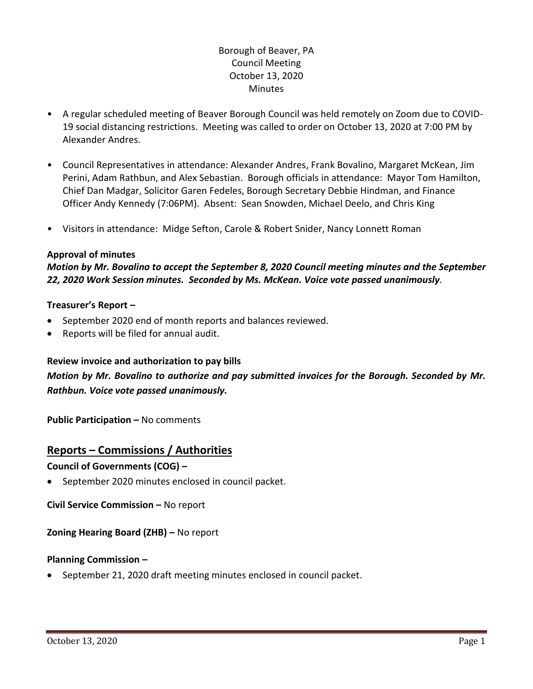## Borough of Beaver, PA Council Meeting October 13, 2020 **Minutes**

- A regular scheduled meeting of Beaver Borough Council was held remotely on Zoom due to COVID-19 social distancing restrictions. Meeting was called to order on October 13, 2020 at 7:00 PM by Alexander Andres.
- Council Representatives in attendance: Alexander Andres, Frank Bovalino, Margaret McKean, Jim Perini, Adam Rathbun, and Alex Sebastian. Borough officials in attendance: Mayor Tom Hamilton, Chief Dan Madgar, Solicitor Garen Fedeles, Borough Secretary Debbie Hindman, and Finance Officer Andy Kennedy (7:06PM). Absent: Sean Snowden, Michael Deelo, and Chris King
- Visitors in attendance: Midge Sefton, Carole & Robert Snider, Nancy Lonnett Roman

## **Approval of minutes**

*Motion by Mr. Bovalino to accept the September 8, 2020 Council meeting minutes and the September 22, 2020 Work Session minutes. Seconded by Ms. McKean. Voice vote passed unanimously.* 

## **Treasurer's Report –**

- September 2020 end of month reports and balances reviewed.
- Reports will be filed for annual audit.

## **Review invoice and authorization to pay bills**

# *Motion by Mr. Bovalino to authorize and pay submitted invoices for the Borough. Seconded by Mr. Rathbun. Voice vote passed unanimously.*

**Public Participation –** No comments

## **Reports – Commissions / Authorities**

## **Council of Governments (COG) –**

• September 2020 minutes enclosed in council packet.

**Civil Service Commission –** No report

## **Zoning Hearing Board (ZHB) –** No report

## **Planning Commission –**

• September 21, 2020 draft meeting minutes enclosed in council packet.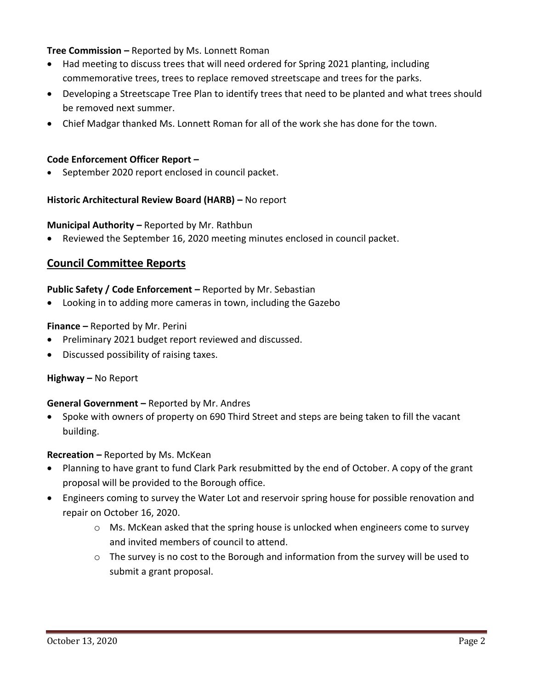**Tree Commission –** Reported by Ms. Lonnett Roman

- Had meeting to discuss trees that will need ordered for Spring 2021 planting, including commemorative trees, trees to replace removed streetscape and trees for the parks.
- Developing a Streetscape Tree Plan to identify trees that need to be planted and what trees should be removed next summer.
- Chief Madgar thanked Ms. Lonnett Roman for all of the work she has done for the town.

## **Code Enforcement Officer Report –**

September 2020 report enclosed in council packet.

## **Historic Architectural Review Board (HARB) –** No report

#### **Municipal Authority –** Reported by Mr. Rathbun

Reviewed the September 16, 2020 meeting minutes enclosed in council packet.

## **Council Committee Reports**

#### **Public Safety / Code Enforcement –** Reported by Mr. Sebastian

• Looking in to adding more cameras in town, including the Gazebo

#### **Finance –** Reported by Mr. Perini

- Preliminary 2021 budget report reviewed and discussed.
- Discussed possibility of raising taxes.

#### **Highway –** No Report

#### **General Government –** Reported by Mr. Andres

• Spoke with owners of property on 690 Third Street and steps are being taken to fill the vacant building.

## **Recreation –** Reported by Ms. McKean

- Planning to have grant to fund Clark Park resubmitted by the end of October. A copy of the grant proposal will be provided to the Borough office.
- Engineers coming to survey the Water Lot and reservoir spring house for possible renovation and repair on October 16, 2020.
	- $\circ$  Ms. McKean asked that the spring house is unlocked when engineers come to survey and invited members of council to attend.
	- o The survey is no cost to the Borough and information from the survey will be used to submit a grant proposal.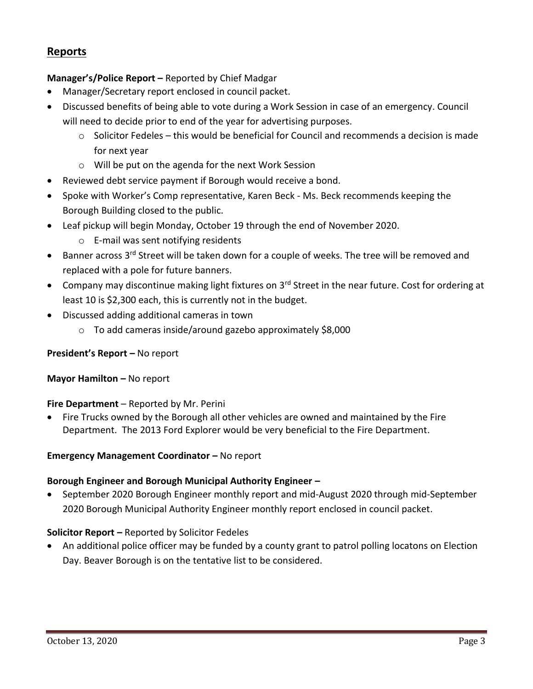## **Reports**

## **Manager's/Police Report –** Reported by Chief Madgar

- Manager/Secretary report enclosed in council packet.
- Discussed benefits of being able to vote during a Work Session in case of an emergency. Council will need to decide prior to end of the year for advertising purposes.
	- $\circ$  Solicitor Fedeles this would be beneficial for Council and recommends a decision is made for next year
	- o Will be put on the agenda for the next Work Session
- Reviewed debt service payment if Borough would receive a bond.
- Spoke with Worker's Comp representative, Karen Beck Ms. Beck recommends keeping the Borough Building closed to the public.
- Leaf pickup will begin Monday, October 19 through the end of November 2020.
	- o E-mail was sent notifying residents
- Banner across 3<sup>rd</sup> Street will be taken down for a couple of weeks. The tree will be removed and replaced with a pole for future banners.
- Company may discontinue making light fixtures on 3<sup>rd</sup> Street in the near future. Cost for ordering at least 10 is \$2,300 each, this is currently not in the budget.
- Discussed adding additional cameras in town
	- o To add cameras inside/around gazebo approximately \$8,000

## **President's Report –** No report

**Mayor Hamilton - No report** 

## **Fire Department** – Reported by Mr. Perini

• Fire Trucks owned by the Borough all other vehicles are owned and maintained by the Fire Department. The 2013 Ford Explorer would be very beneficial to the Fire Department.

## **Emergency Management Coordinator - No report**

## **Borough Engineer and Borough Municipal Authority Engineer –**

• September 2020 Borough Engineer monthly report and mid-August 2020 through mid-September 2020 Borough Municipal Authority Engineer monthly report enclosed in council packet.

## **Solicitor Report –** Reported by Solicitor Fedeles

• An additional police officer may be funded by a county grant to patrol polling locatons on Election Day. Beaver Borough is on the tentative list to be considered.